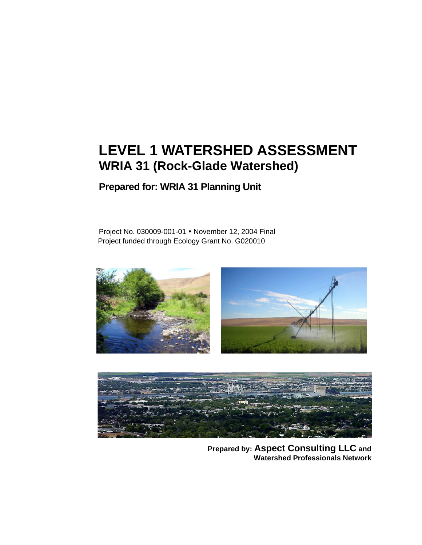# **LEVEL 1 WATERSHED ASSESSMENT WRIA 31 (Rock-Glade Watershed)**

**Prepared for: WRIA 31 Planning Unit**

Project No. 030009-001-01 • November 12, 2004 Final Project funded through Ecology Grant No. G020010





**Prepared by: Aspect Consulting LLC and Watershed Professionals Network**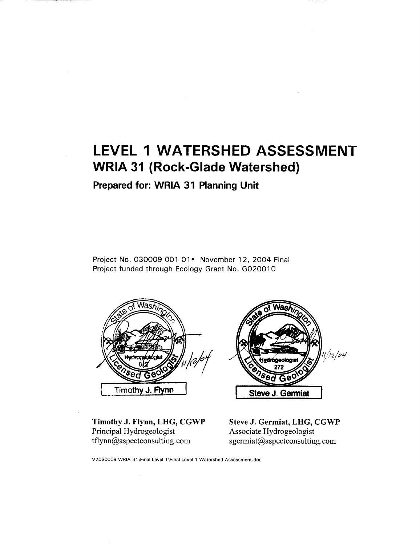## **LEVEL 1 WATERSHED ASSESSMENT WRIA 31 (Rock-Glade Watershed)**

Prepared for: WRIA 31 Planning Unit

Project No. 030009-001-01• November 12, 2004 Final Project funded through Ecology Grant No. G020010



Timothy J. Flynn, LHG, CGWP Principal Hydrogeologist  $tflynn@$ aspectconsulting.com



Steve J. Germiat, LHG, CGWP Associate Hydrogeologist sgermiat@aspectconsulting.com

V:\030009 WRIA 31\Final Level 1\Final Level 1 Watershed Assessment.doc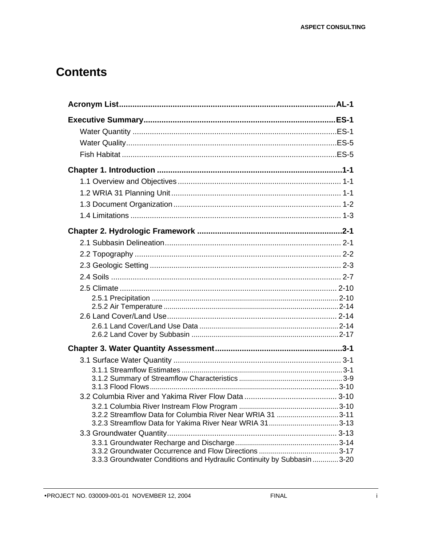### **Contents**

| 3.2.2 Streamflow Data for Columbia River Near WRIA 31 3-11             |  |
|------------------------------------------------------------------------|--|
|                                                                        |  |
|                                                                        |  |
|                                                                        |  |
| 3.3.3 Groundwater Conditions and Hydraulic Continuity by Subbasin 3-20 |  |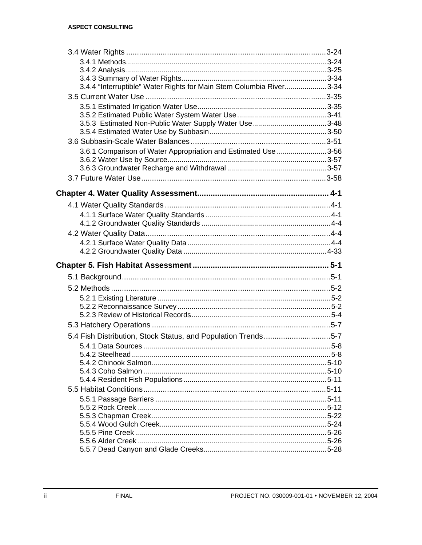| 3.4.4 "Interruptible" Water Rights for Main Stem Columbia River3-34 |       |
|---------------------------------------------------------------------|-------|
|                                                                     |       |
|                                                                     |       |
|                                                                     |       |
|                                                                     |       |
|                                                                     |       |
|                                                                     |       |
| 3.6.1 Comparison of Water Appropriation and Estimated Use 3-56      |       |
|                                                                     |       |
|                                                                     |       |
|                                                                     |       |
|                                                                     |       |
|                                                                     |       |
|                                                                     |       |
|                                                                     |       |
|                                                                     |       |
|                                                                     |       |
|                                                                     |       |
|                                                                     |       |
|                                                                     |       |
|                                                                     |       |
|                                                                     |       |
|                                                                     |       |
|                                                                     |       |
|                                                                     |       |
|                                                                     |       |
|                                                                     |       |
|                                                                     |       |
| 5.4 Fish Distribution, Stock Status, and Population Trends5-7       |       |
| 5.4.2 Steelhead                                                     | $5-8$ |
|                                                                     |       |
|                                                                     |       |
|                                                                     |       |
|                                                                     |       |
|                                                                     |       |
|                                                                     |       |
|                                                                     |       |
|                                                                     |       |
|                                                                     |       |
|                                                                     |       |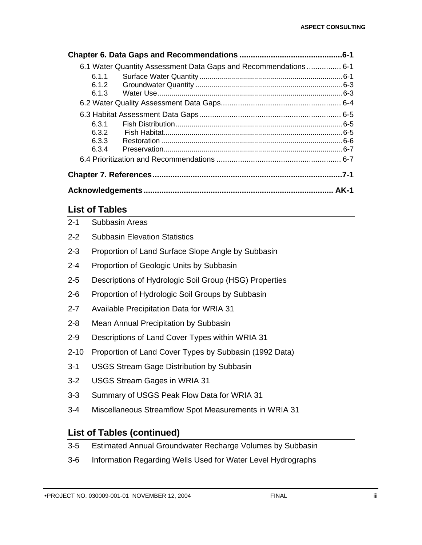|        | 6.1 Water Quantity Assessment Data Gaps and Recommendations 6-1 |      |
|--------|-----------------------------------------------------------------|------|
| 6.1.1  |                                                                 |      |
| 6.1.2  |                                                                 |      |
| 6.1.3  |                                                                 |      |
|        |                                                                 |      |
|        |                                                                 |      |
| 6.3.1  |                                                                 |      |
| 6.3.2  |                                                                 |      |
| 6.3.3  |                                                                 |      |
| 6.3.4  |                                                                 |      |
|        |                                                                 |      |
|        |                                                                 | .7-1 |
| . AK-1 |                                                                 |      |

### **List of Tables**

| $2 - 1$  | Subbasin Areas                                                   |
|----------|------------------------------------------------------------------|
| $2 - 2$  | <b>Subbasin Elevation Statistics</b>                             |
| $2 - 3$  | Proportion of Land Surface Slope Angle by Subbasin               |
| $2 - 4$  | Proportion of Geologic Units by Subbasin                         |
| $2 - 5$  | Descriptions of Hydrologic Soil Group (HSG) Properties           |
| $2 - 6$  | Proportion of Hydrologic Soil Groups by Subbasin                 |
| $2 - 7$  | <b>Available Precipitation Data for WRIA 31</b>                  |
| $2 - 8$  | Mean Annual Precipitation by Subbasin                            |
| $2 - 9$  | Descriptions of Land Cover Types within WRIA 31                  |
| $2 - 10$ | Proportion of Land Cover Types by Subbasin (1992 Data)           |
| $3 - 1$  | <b>USGS Stream Gage Distribution by Subbasin</b>                 |
| $3 - 2$  | <b>USGS Stream Gages in WRIA 31</b>                              |
| $3 - 3$  | Summary of USGS Peak Flow Data for WRIA 31                       |
| $3 - 4$  | Miscellaneous Streamflow Spot Measurements in WRIA 31            |
|          | <b>List of Tables (continued)</b>                                |
| $3-5$    | <b>Estimated Annual Groundwater Recharge Volumes by Subbasin</b> |

3-6 Information Regarding Wells Used for Water Level Hydrographs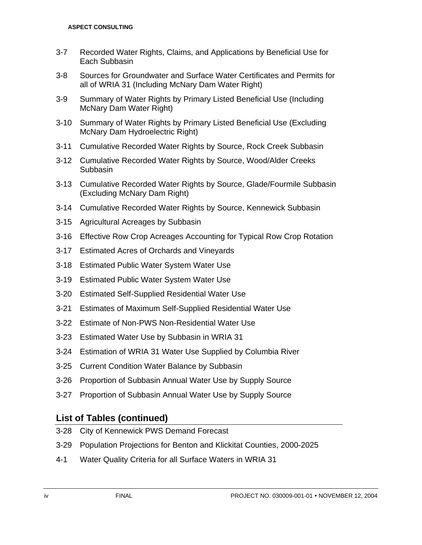- 3-7 Recorded Water Rights, Claims, and Applications by Beneficial Use for Each Subbasin
- 3-8 Sources for Groundwater and Surface Water Certificates and Permits for all of WRIA 31 (Including McNary Dam Water Right)
- 3-9 Summary of Water Rights by Primary Listed Beneficial Use (Including McNary Dam Water Right)
- 3-10 Summary of Water Rights by Primary Listed Beneficial Use (Excluding McNary Dam Hydroelectric Right)
- 3-11 Cumulative Recorded Water Rights by Source, Rock Creek Subbasin
- 3-12 Cumulative Recorded Water Rights by Source, Wood/Alder Creeks **Subbasin**
- 3-13 Cumulative Recorded Water Rights by Source, Glade/Fourmile Subbasin (Excluding McNary Dam Right)
- 3-14 Cumulative Recorded Water Rights by Source, Kennewick Subbasin
- 3-15 Agricultural Acreages by Subbasin
- 3-16 Effective Row Crop Acreages Accounting for Typical Row Crop Rotation
- 3-17 Estimated Acres of Orchards and Vineyards
- 3-18 Estimated Public Water System Water Use
- 3-19 Estimated Public Water System Water Use
- 3-20 Estimated Self-Supplied Residential Water Use
- 3-21 Estimates of Maximum Self-Supplied Residential Water Use
- 3-22 Estimate of Non-PWS Non-Residential Water Use
- 3-23 Estimated Water Use by Subbasin in WRIA 31
- 3-24 Estimation of WRIA 31 Water Use Supplied by Columbia River
- 3-25 Current Condition Water Balance by Subbasin
- 3-26 Proportion of Subbasin Annual Water Use by Supply Source
- 3-27 Proportion of Subbasin Annual Water Use by Supply Source

#### **List of Tables (continued)**

- 3-28 City of Kennewick PWS Demand Forecast
- 3-29 Population Projections for Benton and Klickitat Counties, 2000-2025
- 4-1 Water Quality Criteria for all Surface Waters in WRIA 31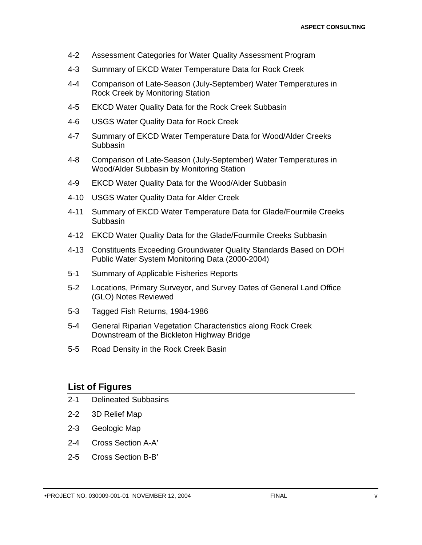- 4-2 Assessment Categories for Water Quality Assessment Program
- 4-3 Summary of EKCD Water Temperature Data for Rock Creek
- 4-4 Comparison of Late-Season (July-September) Water Temperatures in Rock Creek by Monitoring Station
- 4-5 EKCD Water Quality Data for the Rock Creek Subbasin
- 4-6 USGS Water Quality Data for Rock Creek
- 4-7 Summary of EKCD Water Temperature Data for Wood/Alder Creeks **Subbasin**
- 4-8 Comparison of Late-Season (July-September) Water Temperatures in Wood/Alder Subbasin by Monitoring Station
- 4-9 EKCD Water Quality Data for the Wood/Alder Subbasin
- 4-10 USGS Water Quality Data for Alder Creek
- 4-11 Summary of EKCD Water Temperature Data for Glade/Fourmile Creeks **Subbasin**
- 4-12 EKCD Water Quality Data for the Glade/Fourmile Creeks Subbasin
- 4-13 Constituents Exceeding Groundwater Quality Standards Based on DOH Public Water System Monitoring Data (2000-2004)
- 5-1 Summary of Applicable Fisheries Reports
- 5-2 Locations, Primary Surveyor, and Survey Dates of General Land Office (GLO) Notes Reviewed
- 5-3 Tagged Fish Returns, 1984-1986
- 5-4 General Riparian Vegetation Characteristics along Rock Creek Downstream of the Bickleton Highway Bridge
- 5-5 Road Density in the Rock Creek Basin

#### **List of Figures**

- 2-1 Delineated Subbasins
- 2-2 3D Relief Map
- 2-3 Geologic Map
- 2-4 Cross Section A-A'
- 2-5 Cross Section B-B'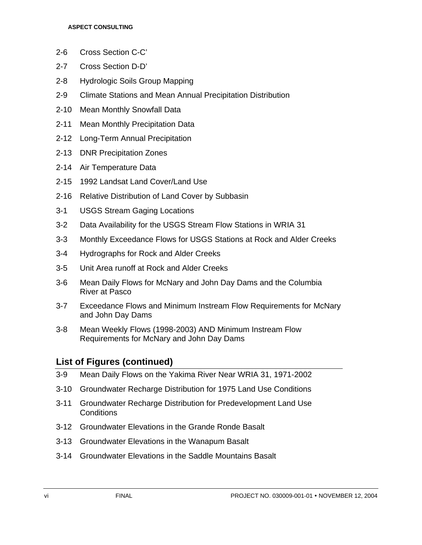- 2-6 Cross Section C-C'
- 2-7 Cross Section D-D'
- 2-8 Hydrologic Soils Group Mapping
- 2-9 Climate Stations and Mean Annual Precipitation Distribution
- 2-10 Mean Monthly Snowfall Data
- 2-11 Mean Monthly Precipitation Data
- 2-12 Long-Term Annual Precipitation
- 2-13 DNR Precipitation Zones
- 2-14 Air Temperature Data
- 2-15 1992 Landsat Land Cover/Land Use
- 2-16 Relative Distribution of Land Cover by Subbasin
- 3-1 USGS Stream Gaging Locations
- 3-2 Data Availability for the USGS Stream Flow Stations in WRIA 31
- 3-3 Monthly Exceedance Flows for USGS Stations at Rock and Alder Creeks
- 3-4 Hydrographs for Rock and Alder Creeks
- 3-5 Unit Area runoff at Rock and Alder Creeks
- 3-6 Mean Daily Flows for McNary and John Day Dams and the Columbia River at Pasco
- 3-7 Exceedance Flows and Minimum Instream Flow Requirements for McNary and John Day Dams
- 3-8 Mean Weekly Flows (1998-2003) AND Minimum Instream Flow Requirements for McNary and John Day Dams

#### **List of Figures (continued)**

- 3-9 Mean Daily Flows on the Yakima River Near WRIA 31, 1971-2002
- 3-10 Groundwater Recharge Distribution for 1975 Land Use Conditions
- 3-11 Groundwater Recharge Distribution for Predevelopment Land Use **Conditions**
- 3-12 Groundwater Elevations in the Grande Ronde Basalt
- 3-13 Groundwater Elevations in the Wanapum Basalt
- 3-14 Groundwater Elevations in the Saddle Mountains Basalt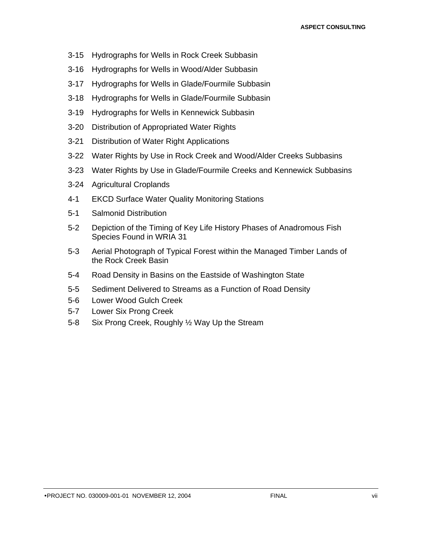- 3-15 Hydrographs for Wells in Rock Creek Subbasin
- 3-16 Hydrographs for Wells in Wood/Alder Subbasin
- 3-17 Hydrographs for Wells in Glade/Fourmile Subbasin
- 3-18 Hydrographs for Wells in Glade/Fourmile Subbasin
- 3-19 Hydrographs for Wells in Kennewick Subbasin
- 3-20 Distribution of Appropriated Water Rights
- 3-21 Distribution of Water Right Applications
- 3-22 Water Rights by Use in Rock Creek and Wood/Alder Creeks Subbasins
- 3-23 Water Rights by Use in Glade/Fourmile Creeks and Kennewick Subbasins
- 3-24 Agricultural Croplands
- 4-1 EKCD Surface Water Quality Monitoring Stations
- 5-1 Salmonid Distribution
- 5-2 Depiction of the Timing of Key Life History Phases of Anadromous Fish Species Found in WRIA 31
- 5-3 Aerial Photograph of Typical Forest within the Managed Timber Lands of the Rock Creek Basin
- 5-4 Road Density in Basins on the Eastside of Washington State
- 5-5 Sediment Delivered to Streams as a Function of Road Density
- 5-6 Lower Wood Gulch Creek
- 5-7 Lower Six Prong Creek
- 5-8 Six Prong Creek, Roughly ½ Way Up the Stream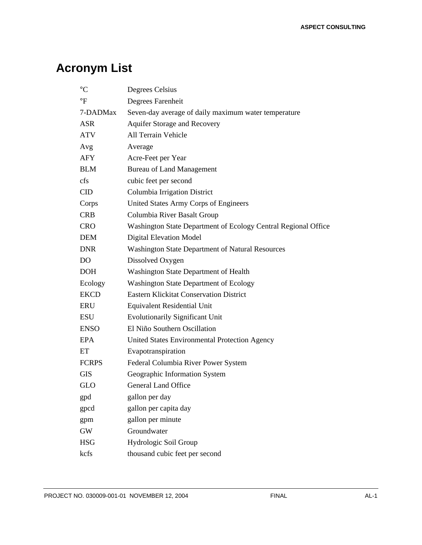## **Acronym List**

| $\rm ^{\circ}C$ | Degrees Celsius                                                |
|-----------------|----------------------------------------------------------------|
| $\mathsf{P}$    | Degrees Farenheit                                              |
| 7-DADMax        | Seven-day average of daily maximum water temperature           |
| <b>ASR</b>      | <b>Aquifer Storage and Recovery</b>                            |
| <b>ATV</b>      | All Terrain Vehicle                                            |
| Avg             | Average                                                        |
| AFY             | Acre-Feet per Year                                             |
| <b>BLM</b>      | <b>Bureau of Land Management</b>                               |
| cfs             | cubic feet per second                                          |
| CID             | Columbia Irrigation District                                   |
| Corps           | United States Army Corps of Engineers                          |
| <b>CRB</b>      | Columbia River Basalt Group                                    |
| <b>CRO</b>      | Washington State Department of Ecology Central Regional Office |
| DEM             | <b>Digital Elevation Model</b>                                 |
| <b>DNR</b>      | <b>Washington State Department of Natural Resources</b>        |
| DO              | Dissolved Oxygen                                               |
| <b>DOH</b>      | Washington State Department of Health                          |
| Ecology         | <b>Washington State Department of Ecology</b>                  |
| <b>EKCD</b>     | <b>Eastern Klickitat Conservation District</b>                 |
| ERU             | <b>Equivalent Residential Unit</b>                             |
| <b>ESU</b>      | <b>Evolutionarily Significant Unit</b>                         |
| <b>ENSO</b>     | El Niño Southern Oscillation                                   |
| EPA             | United States Environmental Protection Agency                  |
| ET              | Evapotranspiration                                             |
| <b>FCRPS</b>    | Federal Columbia River Power System                            |
| <b>GIS</b>      | Geographic Information System                                  |
| <b>GLO</b>      | <b>General Land Office</b>                                     |
| gpd             | gallon per day                                                 |
| gpcd            | gallon per capita day                                          |
| gpm             | gallon per minute                                              |
| $\mathrm{GW}$   | Groundwater                                                    |
| <b>HSG</b>      | Hydrologic Soil Group                                          |
| kcfs            | thousand cubic feet per second                                 |